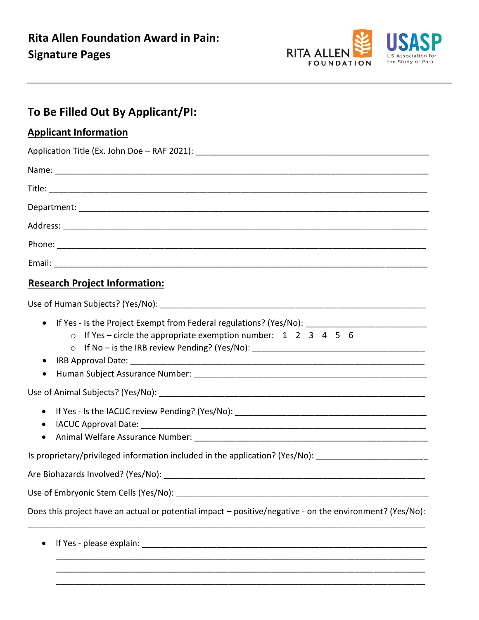

## **To Be Filled Out By Applicant/PI:**

### **Applicant Information**

| <b>Research Project Information:</b> |
|--------------------------------------|

# Use of Human Subjects? (Yes/No):

| o If Yes - circle the appropriate exemption number: $1 \quad 2 \quad 3 \quad 4 \quad 5 \quad 6$          |
|----------------------------------------------------------------------------------------------------------|
|                                                                                                          |
| $\bullet$                                                                                                |
| $\bullet$                                                                                                |
|                                                                                                          |
|                                                                                                          |
|                                                                                                          |
|                                                                                                          |
| Is proprietary/privileged information included in the application? (Yes/No): _______________________     |
|                                                                                                          |
|                                                                                                          |
| Does this project have an actual or potential impact – positive/negative - on the environment? (Yes/No): |
|                                                                                                          |
|                                                                                                          |

\_\_\_\_\_\_\_\_\_\_\_\_\_\_\_\_\_\_\_\_\_\_\_\_\_\_\_\_\_\_\_\_\_\_\_\_\_\_\_\_\_\_\_\_\_\_\_\_\_\_\_\_\_\_\_\_\_\_\_\_\_\_\_\_\_\_\_\_\_\_\_\_\_\_\_\_\_\_\_ \_\_\_\_\_\_\_\_\_\_\_\_\_\_\_\_\_\_\_\_\_\_\_\_\_\_\_\_\_\_\_\_\_\_\_\_\_\_\_\_\_\_\_\_\_\_\_\_\_\_\_\_\_\_\_\_\_\_\_\_\_\_\_\_\_\_\_\_\_\_\_\_\_\_\_\_\_\_\_